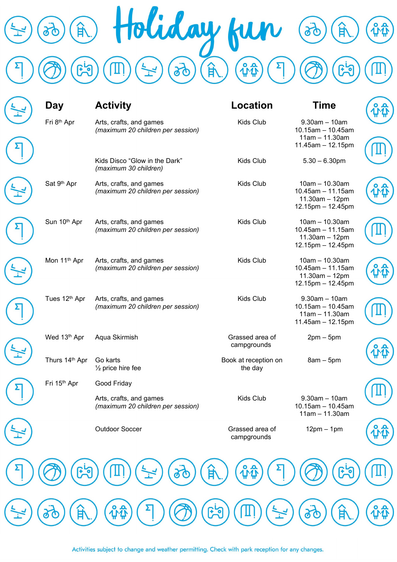

| Fri 8th Apr<br>Kids Club<br>$9.30$ am $-10$ am<br>Arts, crafts, and games<br>(maximum 20 children per session)<br>$11am - 11.30am$<br>Kids Disco "Glow in the Dark"<br>Kids Club<br>$5.30 - 6.30$ pm<br>(maximum 30 children)<br>Sat 9th Apr<br>Arts, crafts, and games<br>Kids Club<br>$10am - 10.30am$<br>(maximum 20 children per session)<br>$11.30$ am - 12pm<br>Sun 10th Apr<br>Kids Club<br>$10am - 10.30am$<br>Arts, crafts, and games<br>(maximum 20 children per session)<br>$11.30am - 12pm$<br>Mon 11 <sup>th</sup> Apr<br>Kids Club<br>$10am - 10.30am$<br>Arts, crafts, and games<br>(maximum 20 children per session)<br>$11.30am - 12pm$<br>Tues 12 <sup>th</sup> Apr<br>Kids Club<br>$9.30$ am $-10$ am<br>Arts, crafts, and games<br>(maximum 20 children per session)<br>$10.15$ am - 10.45am<br>$11am - 11.30am$<br>11.45am - 12.15pm<br>Wed 13th Apr<br>Grassed area of<br>Aqua Skirmish<br>$2pm-5pm$<br>campgrounds<br>Thurs 14th Apr<br>Go karts<br>Book at reception on<br>$8am - 5pm$<br>$\frac{1}{2}$ price hire fee<br>the day<br>Fri 15 <sup>th</sup> Apr<br>Good Friday<br>Kids Club<br>$9.30$ am $-10$ am<br>Arts, crafts, and games<br>(maximum 20 children per session)<br>$11am - 11.30am$<br><b>Outdoor Soccer</b><br>$12pm - 1pm$<br>Grassed area of<br>campgrounds | Day    | <b>Activity</b> | <b>Location</b> | <b>Time</b>                                  |
|--------------------------------------------------------------------------------------------------------------------------------------------------------------------------------------------------------------------------------------------------------------------------------------------------------------------------------------------------------------------------------------------------------------------------------------------------------------------------------------------------------------------------------------------------------------------------------------------------------------------------------------------------------------------------------------------------------------------------------------------------------------------------------------------------------------------------------------------------------------------------------------------------------------------------------------------------------------------------------------------------------------------------------------------------------------------------------------------------------------------------------------------------------------------------------------------------------------------------------------------------------------------------------------------------------|--------|-----------------|-----------------|----------------------------------------------|
|                                                                                                                                                                                                                                                                                                                                                                                                                                                                                                                                                                                                                                                                                                                                                                                                                                                                                                                                                                                                                                                                                                                                                                                                                                                                                                        |        |                 |                 | $10.15$ am - 10.45am<br>11.45am - 12.15pm    |
|                                                                                                                                                                                                                                                                                                                                                                                                                                                                                                                                                                                                                                                                                                                                                                                                                                                                                                                                                                                                                                                                                                                                                                                                                                                                                                        |        |                 |                 |                                              |
|                                                                                                                                                                                                                                                                                                                                                                                                                                                                                                                                                                                                                                                                                                                                                                                                                                                                                                                                                                                                                                                                                                                                                                                                                                                                                                        |        |                 |                 | $10.45$ am - 11.15am<br>12.15pm - 12.45pm    |
|                                                                                                                                                                                                                                                                                                                                                                                                                                                                                                                                                                                                                                                                                                                                                                                                                                                                                                                                                                                                                                                                                                                                                                                                                                                                                                        |        |                 |                 | $10.45$ am - 11.15am<br>12.15pm - 12.45pm    |
|                                                                                                                                                                                                                                                                                                                                                                                                                                                                                                                                                                                                                                                                                                                                                                                                                                                                                                                                                                                                                                                                                                                                                                                                                                                                                                        |        |                 |                 | $10.45$ am $- 11.15$ am<br>12.15pm - 12.45pm |
|                                                                                                                                                                                                                                                                                                                                                                                                                                                                                                                                                                                                                                                                                                                                                                                                                                                                                                                                                                                                                                                                                                                                                                                                                                                                                                        |        |                 |                 |                                              |
|                                                                                                                                                                                                                                                                                                                                                                                                                                                                                                                                                                                                                                                                                                                                                                                                                                                                                                                                                                                                                                                                                                                                                                                                                                                                                                        |        |                 |                 |                                              |
|                                                                                                                                                                                                                                                                                                                                                                                                                                                                                                                                                                                                                                                                                                                                                                                                                                                                                                                                                                                                                                                                                                                                                                                                                                                                                                        |        |                 |                 |                                              |
|                                                                                                                                                                                                                                                                                                                                                                                                                                                                                                                                                                                                                                                                                                                                                                                                                                                                                                                                                                                                                                                                                                                                                                                                                                                                                                        |        |                 |                 |                                              |
|                                                                                                                                                                                                                                                                                                                                                                                                                                                                                                                                                                                                                                                                                                                                                                                                                                                                                                                                                                                                                                                                                                                                                                                                                                                                                                        |        |                 |                 | $10.15$ am - 10.45am                         |
|                                                                                                                                                                                                                                                                                                                                                                                                                                                                                                                                                                                                                                                                                                                                                                                                                                                                                                                                                                                                                                                                                                                                                                                                                                                                                                        |        |                 |                 |                                              |
|                                                                                                                                                                                                                                                                                                                                                                                                                                                                                                                                                                                                                                                                                                                                                                                                                                                                                                                                                                                                                                                                                                                                                                                                                                                                                                        |        |                 |                 |                                              |
| Ħ                                                                                                                                                                                                                                                                                                                                                                                                                                                                                                                                                                                                                                                                                                                                                                                                                                                                                                                                                                                                                                                                                                                                                                                                                                                                                                      |        |                 |                 |                                              |
|                                                                                                                                                                                                                                                                                                                                                                                                                                                                                                                                                                                                                                                                                                                                                                                                                                                                                                                                                                                                                                                                                                                                                                                                                                                                                                        | E<br>Ø | $\mathbf{r}$    |                 |                                              |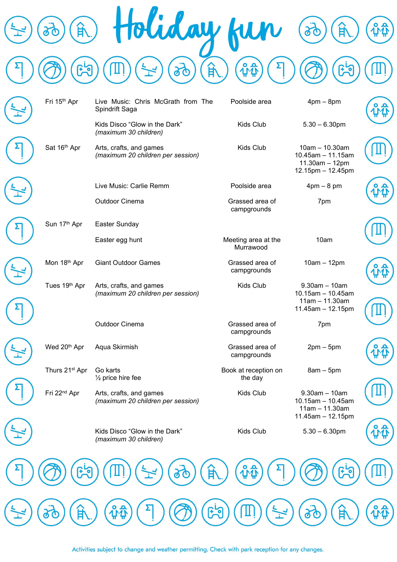

| Fri 15th Apr               | Live Music: Chris McGrath from The<br>Spindrift Saga         | Poolside area                    | $4pm - 8pm$                                                                          |  |
|----------------------------|--------------------------------------------------------------|----------------------------------|--------------------------------------------------------------------------------------|--|
|                            | Kids Disco "Glow in the Dark"<br>(maximum 30 children)       | Kids Club                        | $5.30 - 6.30$ pm                                                                     |  |
| Sat 16th Apr               | Arts, crafts, and games<br>(maximum 20 children per session) | Kids Club                        | $10am - 10.30am$<br>$10.45$ am $- 11.15$ am<br>$11.30am - 12pm$<br>12.15pm - 12.45pm |  |
|                            | Live Music: Carlie Remm                                      | Poolside area                    | $4pm - 8pm$                                                                          |  |
|                            | Outdoor Cinema                                               | Grassed area of<br>campgrounds   | 7pm                                                                                  |  |
| Sun 17th Apr               | Easter Sunday                                                |                                  |                                                                                      |  |
|                            | Easter egg hunt                                              | Meeting area at the<br>Murrawood | 10am                                                                                 |  |
| Mon 18th Apr               | <b>Giant Outdoor Games</b>                                   | Grassed area of<br>campgrounds   | $10am - 12pm$                                                                        |  |
| Tues 19th Apr              | Arts, crafts, and games<br>(maximum 20 children per session) | Kids Club                        | $9.30$ am $-10$ am<br>$10.15$ am - 10.45am<br>$11am - 11.30am$<br>11.45am - 12.15pm  |  |
|                            | Outdoor Cinema                                               | Grassed area of<br>campgrounds   | 7pm                                                                                  |  |
| Wed 20 <sup>th</sup> Apr   | Aqua Skirmish                                                | Grassed area of<br>campgrounds   | $2pm-5pm$                                                                            |  |
| Thurs 21 <sup>st</sup> Apr | Go karts<br>$\frac{1}{2}$ price hire fee                     | Book at reception on<br>the day  | $8am - 5pm$                                                                          |  |
| Fri 22 <sup>nd</sup> Apr   | Arts, crafts, and games<br>(maximum 20 children per session) | Kids Club                        | $9.30$ am $-10$ am<br>$10.15$ am - 10.45am<br>$11am - 11.30am$<br>11.45am - 12.15pm  |  |
|                            | Kids Disco "Glow in the Dark"<br>(maximum 30 children)       | Kids Club                        | $5.30 - 6.30$ pm                                                                     |  |
|                            |                                                              | <b>122</b><br>甘                  |                                                                                      |  |
|                            |                                                              | <b><u>مبو</u></b>                |                                                                                      |  |

Activities subject to change and weather permitting. Check with park reception for any changes.